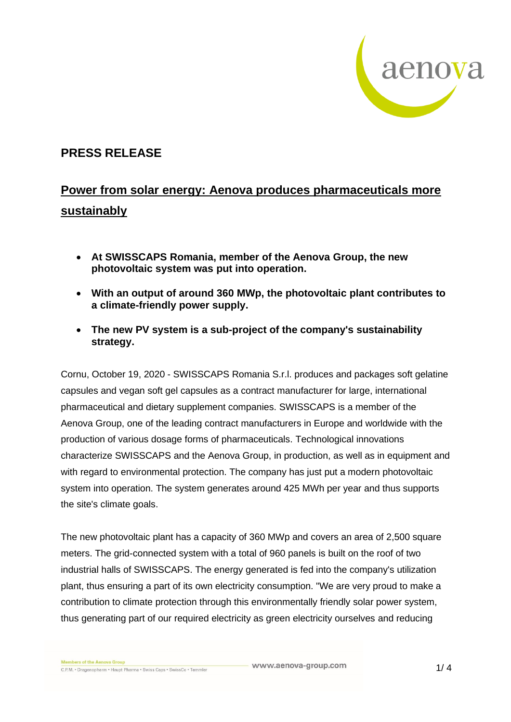

# **PRESS RELEASE**

# **Power from solar energy: Aenova produces pharmaceuticals more sustainably**

- **At SWISSCAPS Romania, member of the Aenova Group, the new photovoltaic system was put into operation.**
- **With an output of around 360 MWp, the photovoltaic plant contributes to a climate-friendly power supply.**
- **The new PV system is a sub-project of the company's sustainability strategy.**

Cornu, October 19, 2020 - SWISSCAPS Romania S.r.l. produces and packages soft gelatine capsules and vegan soft gel capsules as a contract manufacturer for large, international pharmaceutical and dietary supplement companies. SWISSCAPS is a member of the Aenova Group, one of the leading contract manufacturers in Europe and worldwide with the production of various dosage forms of pharmaceuticals. Technological innovations characterize SWISSCAPS and the Aenova Group, in production, as well as in equipment and with regard to environmental protection. The company has just put a modern photovoltaic system into operation. The system generates around 425 MWh per year and thus supports the site's climate goals.

The new photovoltaic plant has a capacity of 360 MWp and covers an area of 2,500 square meters. The grid-connected system with a total of 960 panels is built on the roof of two industrial halls of SWISSCAPS. The energy generated is fed into the company's utilization plant, thus ensuring a part of its own electricity consumption. "We are very proud to make a contribution to climate protection through this environmentally friendly solar power system, thus generating part of our required electricity as green electricity ourselves and reducing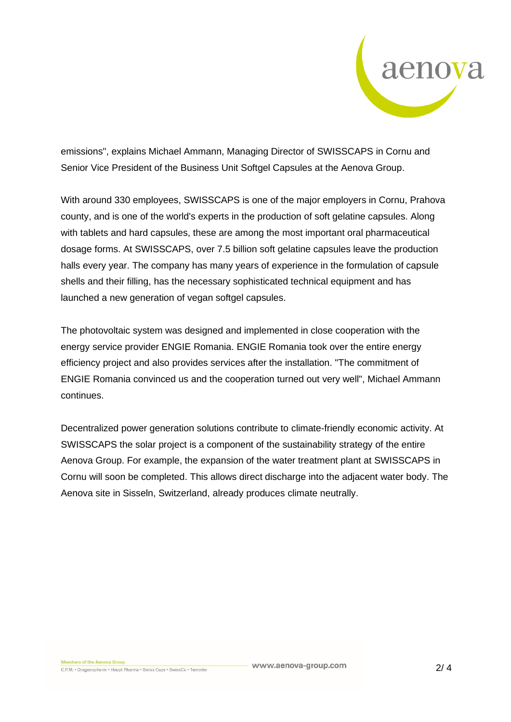

emissions", explains Michael Ammann, Managing Director of SWISSCAPS in Cornu and Senior Vice President of the Business Unit Softgel Capsules at the Aenova Group.

With around 330 employees, SWISSCAPS is one of the major employers in Cornu, Prahova county, and is one of the world's experts in the production of soft gelatine capsules. Along with tablets and hard capsules, these are among the most important oral pharmaceutical dosage forms. At SWISSCAPS, over 7.5 billion soft gelatine capsules leave the production halls every year. The company has many years of experience in the formulation of capsule shells and their filling, has the necessary sophisticated technical equipment and has launched a new generation of vegan softgel capsules.

The photovoltaic system was designed and implemented in close cooperation with the energy service provider ENGIE Romania. ENGIE Romania took over the entire energy efficiency project and also provides services after the installation. "The commitment of ENGIE Romania convinced us and the cooperation turned out very well", Michael Ammann continues.

Decentralized power generation solutions contribute to climate-friendly economic activity. At SWISSCAPS the solar project is a component of the sustainability strategy of the entire Aenova Group. For example, the expansion of the water treatment plant at SWISSCAPS in Cornu will soon be completed. This allows direct discharge into the adjacent water body. The Aenova site in Sisseln, Switzerland, already produces climate neutrally.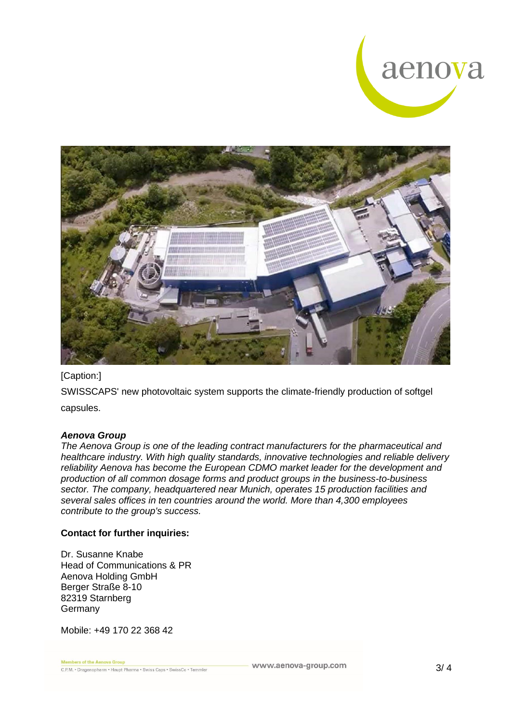



## [Caption:]

SWISSCAPS' new photovoltaic system supports the climate-friendly production of softgel capsules.

#### *Aenova Group*

*The Aenova Group is one of the leading contract manufacturers for the pharmaceutical and healthcare industry. With high quality standards, innovative technologies and reliable delivery reliability Aenova has become the European CDMO market leader for the development and production of all common dosage forms and product groups in the business-to-business sector. The company, headquartered near Munich, operates 15 production facilities and several sales offices in ten countries around the world. More than 4,300 employees contribute to the group's success.*

### **Contact for further inquiries:**

Dr. Susanne Knabe Head of Communications & PR Aenova Holding GmbH Berger Straße 8-10 82319 Starnberg Germany

Mobile: +49 170 22 368 42